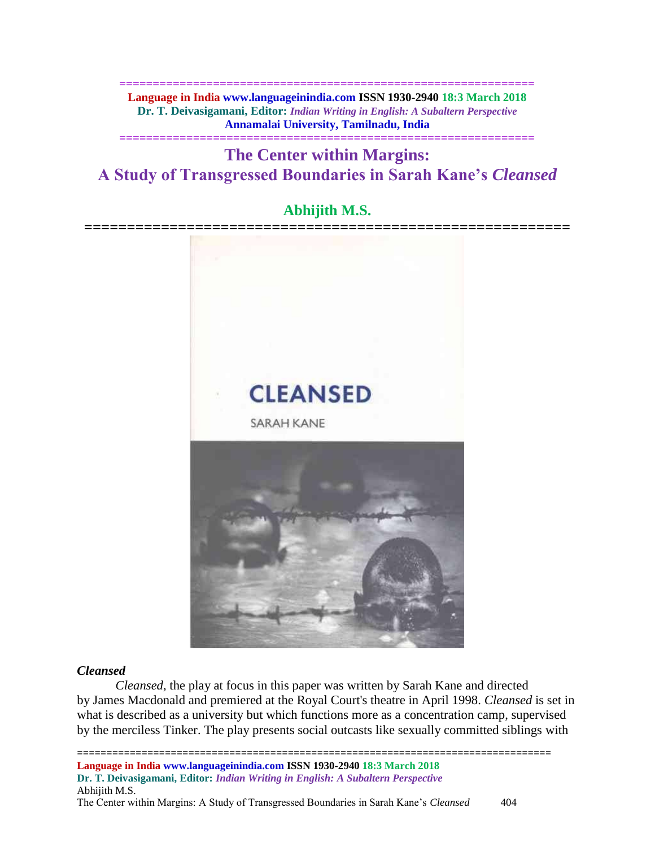**============================================================== Language in India www.languageinindia.com ISSN 1930-2940 18:3 March 2018 Dr. T. Deivasigamani, Editor:** *Indian Writing in English: A Subaltern Perspective* **Annamalai University, Tamilnadu, India**

**==============================================================**

**The Center within Margins: A Study of Transgressed Boundaries in Sarah Kane's** *Cleansed*

# **Abhijith M.S.**



# *[Cleansed](https://en.wikipedia.org/wiki/Cleansed)*

*[Cleansed](https://en.wikipedia.org/wiki/Cleansed)*, the play at focus in this paper was written by Sarah Kane and directed by [James Macdonald](https://en.wikipedia.org/wiki/James_Macdonald_(director)) and premiered at the Royal Court's theatre in April 1998. *Cleansed* is set in what is described as a university but which functions more as a [concentration camp,](https://en.wikipedia.org/wiki/Concentration_camp) supervised by the merciless Tinker. The play presents social outcasts like sexually committed siblings with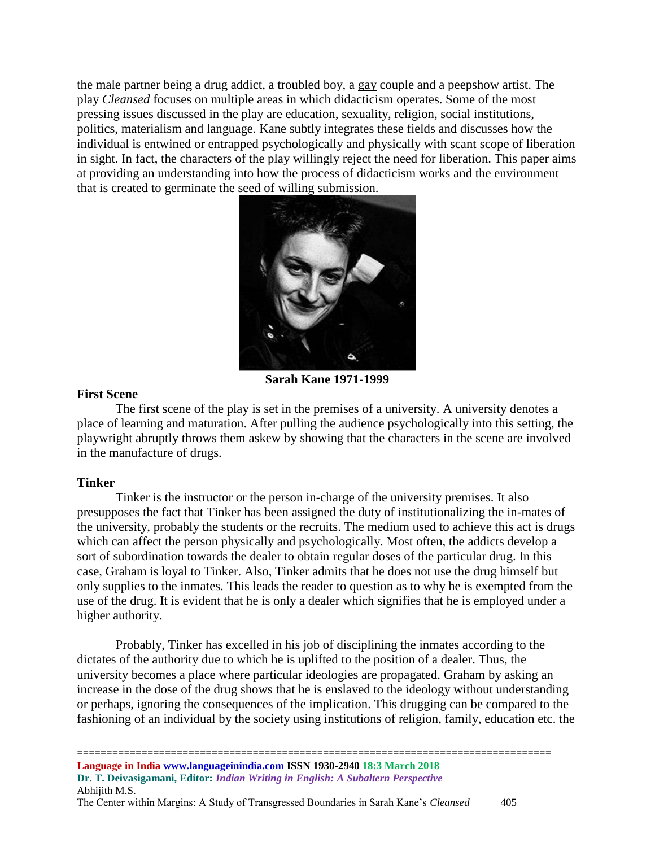the male partner being a drug addict, a troubled boy, a [gay](https://en.wikipedia.org/wiki/Gay) couple and a peepshow artist. The play *Cleansed* focuses on multiple areas in which didacticism operates. Some of the most pressing issues discussed in the play are education, sexuality, religion, social institutions, politics, materialism and language. Kane subtly integrates these fields and discusses how the individual is entwined or entrapped psychologically and physically with scant scope of liberation in sight. In fact, the characters of the play willingly reject the need for liberation. This paper aims at providing an understanding into how the process of didacticism works and the environment that is created to germinate the seed of willing submission.



**Sarah Kane 1971-1999**

# **First Scene**

The first scene of the play is set in the premises of a university. A university denotes a place of learning and maturation. After pulling the audience psychologically into this setting, the playwright abruptly throws them askew by showing that the characters in the scene are involved in the manufacture of drugs.

# **Tinker**

Tinker is the instructor or the person in-charge of the university premises. It also presupposes the fact that Tinker has been assigned the duty of institutionalizing the in-mates of the university, probably the students or the recruits. The medium used to achieve this act is drugs which can affect the person physically and psychologically. Most often, the addicts develop a sort of subordination towards the dealer to obtain regular doses of the particular drug. In this case, Graham is loyal to Tinker. Also, Tinker admits that he does not use the drug himself but only supplies to the inmates. This leads the reader to question as to why he is exempted from the use of the drug. It is evident that he is only a dealer which signifies that he is employed under a higher authority.

Probably, Tinker has excelled in his job of disciplining the inmates according to the dictates of the authority due to which he is uplifted to the position of a dealer. Thus, the university becomes a place where particular ideologies are propagated. Graham by asking an increase in the dose of the drug shows that he is enslaved to the ideology without understanding or perhaps, ignoring the consequences of the implication. This drugging can be compared to the fashioning of an individual by the society using institutions of religion, family, education etc. the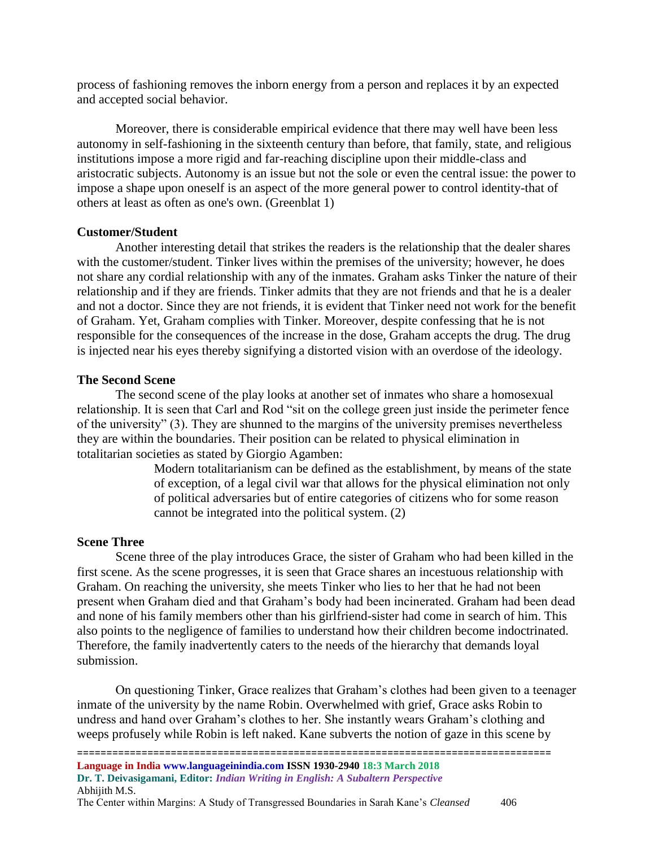process of fashioning removes the inborn energy from a person and replaces it by an expected and accepted social behavior.

Moreover, there is considerable empirical evidence that there may well have been less autonomy in self-fashioning in the sixteenth century than before, that family, state, and religious institutions impose a more rigid and far-reaching discipline upon their middle-class and aristocratic subjects. Autonomy is an issue but not the sole or even the central issue: the power to impose a shape upon oneself is an aspect of the more general power to control identity-that of others at least as often as one's own. (Greenblat 1)

### **Customer/Student**

Another interesting detail that strikes the readers is the relationship that the dealer shares with the customer/student. Tinker lives within the premises of the university; however, he does not share any cordial relationship with any of the inmates. Graham asks Tinker the nature of their relationship and if they are friends. Tinker admits that they are not friends and that he is a dealer and not a doctor. Since they are not friends, it is evident that Tinker need not work for the benefit of Graham. Yet, Graham complies with Tinker. Moreover, despite confessing that he is not responsible for the consequences of the increase in the dose, Graham accepts the drug. The drug is injected near his eyes thereby signifying a distorted vision with an overdose of the ideology.

#### **The Second Scene**

The second scene of the play looks at another set of inmates who share a homosexual relationship. It is seen that Carl and Rod "sit on the college green just inside the perimeter fence of the university" (3). They are shunned to the margins of the university premises nevertheless they are within the boundaries. Their position can be related to physical elimination in totalitarian societies as stated by Giorgio Agamben:

> [Modern totalitarianism can be defined as the establishment, by means of the state](http://www.azquotes.com/quote/859924)  [of exception, of a legal civil war that allows for the physical elimination not only](http://www.azquotes.com/quote/859924)  [of political adversaries but of entire categories of citizens who for some reason](http://www.azquotes.com/quote/859924)  [cannot be integrated into the political system.](http://www.azquotes.com/quote/859924) (2)

#### **Scene Three**

Scene three of the play introduces Grace, the sister of Graham who had been killed in the first scene. As the scene progresses, it is seen that Grace shares an incestuous relationship with Graham. On reaching the university, she meets Tinker who lies to her that he had not been present when Graham died and that Graham's body had been incinerated. Graham had been dead and none of his family members other than his girlfriend-sister had come in search of him. This also points to the negligence of families to understand how their children become indoctrinated. Therefore, the family inadvertently caters to the needs of the hierarchy that demands loyal submission.

On questioning Tinker, Grace realizes that Graham's clothes had been given to a teenager inmate of the university by the name Robin. Overwhelmed with grief, Grace asks Robin to undress and hand over Graham's clothes to her. She instantly wears Graham's clothing and weeps profusely while Robin is left naked. Kane subverts the notion of gaze in this scene by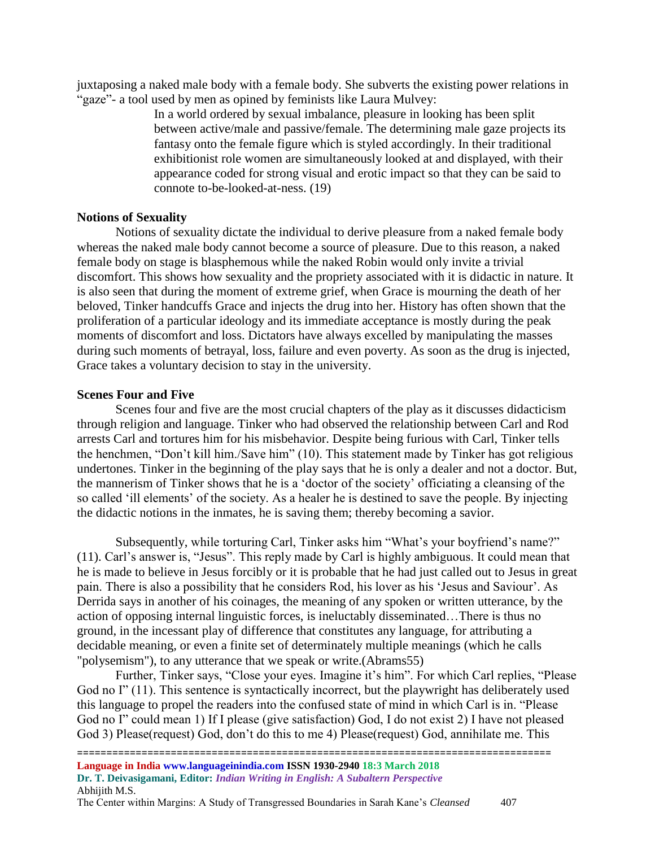juxtaposing a naked male body with a female body. She subverts the existing power relations in "gaze"- a tool used by men as opined by feminists like Laura Mulvey:

> [In a world ordered by sexual imbalance, pleasure in looking has been split](http://www.azquotes.com/quote/695834)  [between active/male and passive/female. The determining male gaze projects its](http://www.azquotes.com/quote/695834)  [fantasy onto the female figure which is styled accordingly. In their traditional](http://www.azquotes.com/quote/695834)  [exhibitionist role women are simultaneously looked at and displayed, with their](http://www.azquotes.com/quote/695834)  [appearance coded for strong visual and erotic impact so that they can be said to](http://www.azquotes.com/quote/695834)  [connote to-be-looked-at-ness.](http://www.azquotes.com/quote/695834) (19)

## **Notions of Sexuality**

Notions of sexuality dictate the individual to derive pleasure from a naked female body whereas the naked male body cannot become a source of pleasure. Due to this reason, a naked female body on stage is blasphemous while the naked Robin would only invite a trivial discomfort. This shows how sexuality and the propriety associated with it is didactic in nature. It is also seen that during the moment of extreme grief, when Grace is mourning the death of her beloved, Tinker handcuffs Grace and injects the drug into her. History has often shown that the proliferation of a particular ideology and its immediate acceptance is mostly during the peak moments of discomfort and loss. Dictators have always excelled by manipulating the masses during such moments of betrayal, loss, failure and even poverty. As soon as the drug is injected, Grace takes a voluntary decision to stay in the university.

### **Scenes Four and Five**

Scenes four and five are the most crucial chapters of the play as it discusses didacticism through religion and language. Tinker who had observed the relationship between Carl and Rod arrests Carl and tortures him for his misbehavior. Despite being furious with Carl, Tinker tells the henchmen, "Don't kill him./Save him" (10). This statement made by Tinker has got religious undertones. Tinker in the beginning of the play says that he is only a dealer and not a doctor. But, the mannerism of Tinker shows that he is a 'doctor of the society' officiating a cleansing of the so called 'ill elements' of the society. As a healer he is destined to save the people. By injecting the didactic notions in the inmates, he is saving them; thereby becoming a savior.

Subsequently, while torturing Carl, Tinker asks him "What's your boyfriend's name?" (11). Carl's answer is, "Jesus". This reply made by Carl is highly ambiguous. It could mean that he is made to believe in Jesus forcibly or it is probable that he had just called out to Jesus in great pain. There is also a possibility that he considers Rod, his lover as his 'Jesus and Saviour'. As Derrida says in another of his coinages, the meaning of any spoken or written utterance, by the action of opposing internal linguistic forces, is ineluctably disseminated…There is thus no ground, in the incessant play of difference that constitutes any language, for attributing a decidable meaning, or even a finite set of determinately multiple meanings (which he calls "polysemism"), to any utterance that we speak or write.(Abrams55)

Further, Tinker says, "Close your eyes. Imagine it's him". For which Carl replies, "Please God no I" (11). This sentence is syntactically incorrect, but the playwright has deliberately used this language to propel the readers into the confused state of mind in which Carl is in. "Please God no I" could mean 1) If I please (give satisfaction) God, I do not exist 2) I have not pleased God 3) Please(request) God, don't do this to me 4) Please(request) God, annihilate me. This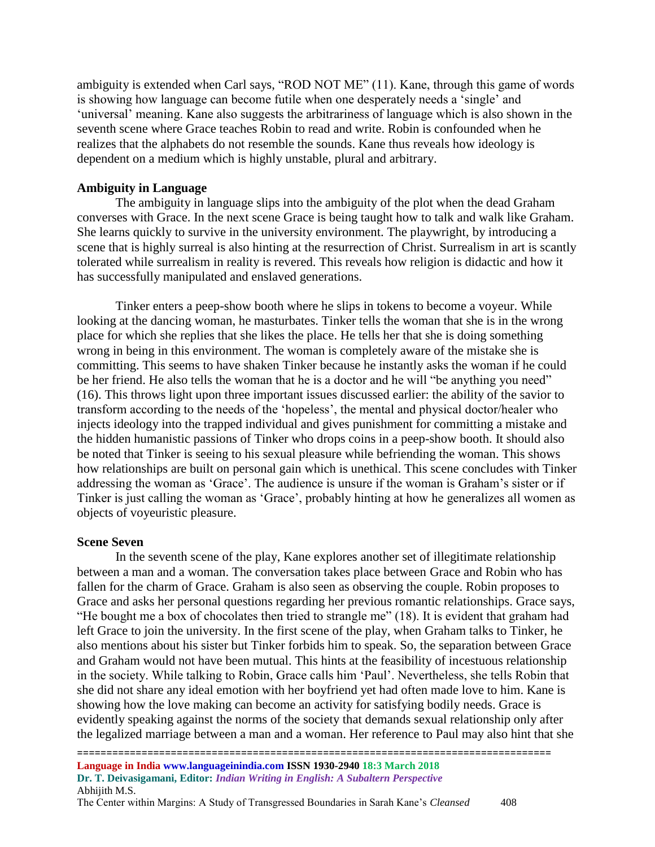ambiguity is extended when Carl says, "ROD NOT ME" (11). Kane, through this game of words is showing how language can become futile when one desperately needs a 'single' and 'universal' meaning. Kane also suggests the arbitrariness of language which is also shown in the seventh scene where Grace teaches Robin to read and write. Robin is confounded when he realizes that the alphabets do not resemble the sounds. Kane thus reveals how ideology is dependent on a medium which is highly unstable, plural and arbitrary.

## **Ambiguity in Language**

The ambiguity in language slips into the ambiguity of the plot when the dead Graham converses with Grace. In the next scene Grace is being taught how to talk and walk like Graham. She learns quickly to survive in the university environment. The playwright, by introducing a scene that is highly surreal is also hinting at the resurrection of Christ. Surrealism in art is scantly tolerated while surrealism in reality is revered. This reveals how religion is didactic and how it has successfully manipulated and enslaved generations.

Tinker enters a peep-show booth where he slips in tokens to become a voyeur. While looking at the dancing woman, he masturbates. Tinker tells the woman that she is in the wrong place for which she replies that she likes the place. He tells her that she is doing something wrong in being in this environment. The woman is completely aware of the mistake she is committing. This seems to have shaken Tinker because he instantly asks the woman if he could be her friend. He also tells the woman that he is a doctor and he will "be anything you need" (16). This throws light upon three important issues discussed earlier: the ability of the savior to transform according to the needs of the 'hopeless', the mental and physical doctor/healer who injects ideology into the trapped individual and gives punishment for committing a mistake and the hidden humanistic passions of Tinker who drops coins in a peep-show booth. It should also be noted that Tinker is seeing to his sexual pleasure while befriending the woman. This shows how relationships are built on personal gain which is unethical. This scene concludes with Tinker addressing the woman as 'Grace'. The audience is unsure if the woman is Graham's sister or if Tinker is just calling the woman as 'Grace', probably hinting at how he generalizes all women as objects of voyeuristic pleasure.

## **Scene Seven**

In the seventh scene of the play, Kane explores another set of illegitimate relationship between a man and a woman. The conversation takes place between Grace and Robin who has fallen for the charm of Grace. Graham is also seen as observing the couple. Robin proposes to Grace and asks her personal questions regarding her previous romantic relationships. Grace says, "He bought me a box of chocolates then tried to strangle me" (18). It is evident that graham had left Grace to join the university. In the first scene of the play, when Graham talks to Tinker, he also mentions about his sister but Tinker forbids him to speak. So, the separation between Grace and Graham would not have been mutual. This hints at the feasibility of incestuous relationship in the society. While talking to Robin, Grace calls him 'Paul'. Nevertheless, she tells Robin that she did not share any ideal emotion with her boyfriend yet had often made love to him. Kane is showing how the love making can become an activity for satisfying bodily needs. Grace is evidently speaking against the norms of the society that demands sexual relationship only after the legalized marriage between a man and a woman. Her reference to Paul may also hint that she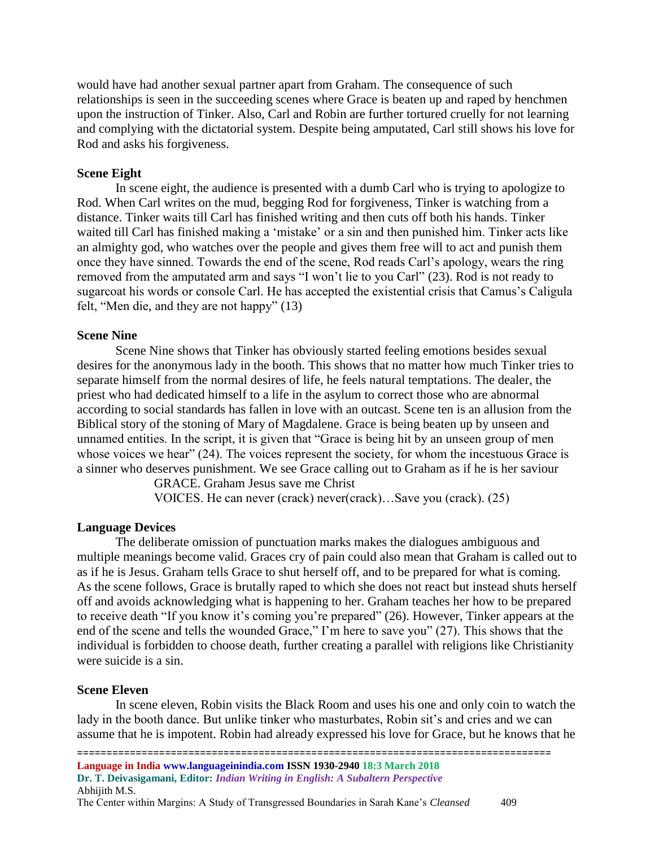would have had another sexual partner apart from Graham. The consequence of such relationships is seen in the succeeding scenes where Grace is beaten up and raped by henchmen upon the instruction of Tinker. Also, Carl and Robin are further tortured cruelly for not learning and complying with the dictatorial system. Despite being amputated, Carl still shows his love for Rod and asks his forgiveness.

## **Scene Eight**

In scene eight, the audience is presented with a dumb Carl who is trying to apologize to Rod. When Carl writes on the mud, begging Rod for forgiveness, Tinker is watching from a distance. Tinker waits till Carl has finished writing and then cuts off both his hands. Tinker waited till Carl has finished making a 'mistake' or a sin and then punished him. Tinker acts like an almighty god, who watches over the people and gives them free will to act and punish them once they have sinned. Towards the end of the scene, Rod reads Carl's apology, wears the ring removed from the amputated arm and says "I won't lie to you Carl" (23). Rod is not ready to sugarcoat his words or console Carl. He has accepted the existential crisis that Camus's Caligula felt, "Men die, and they are not happy" (13)

### **Scene Nine**

Scene Nine shows that Tinker has obviously started feeling emotions besides sexual desires for the anonymous lady in the booth. This shows that no matter how much Tinker tries to separate himself from the normal desires of life, he feels natural temptations. The dealer, the priest who had dedicated himself to a life in the asylum to correct those who are abnormal according to social standards has fallen in love with an outcast. Scene ten is an allusion from the Biblical story of the stoning of Mary of Magdalene. Grace is being beaten up by unseen and unnamed entities. In the script, it is given that "Grace is being hit by an unseen group of men whose voices we hear" (24). The voices represent the society, for whom the incestuous Grace is a sinner who deserves punishment. We see Grace calling out to Graham as if he is her saviour

GRACE. Graham Jesus save me Christ

VOICES. He can never (crack) never(crack)…Save you (crack). (25)

#### **Language Devices**

The deliberate omission of punctuation marks makes the dialogues ambiguous and multiple meanings become valid. Graces cry of pain could also mean that Graham is called out to as if he is Jesus. Graham tells Grace to shut herself off, and to be prepared for what is coming. As the scene follows, Grace is brutally raped to which she does not react but instead shuts herself off and avoids acknowledging what is happening to her. Graham teaches her how to be prepared to receive death "If you know it's coming you're prepared" (26). However, Tinker appears at the end of the scene and tells the wounded Grace," I'm here to save you" (27). This shows that the individual is forbidden to choose death, further creating a parallel with religions like Christianity were suicide is a sin.

#### **Scene Eleven**

In scene eleven, Robin visits the Black Room and uses his one and only coin to watch the lady in the booth dance. But unlike tinker who masturbates, Robin sit's and cries and we can assume that he is impotent. Robin had already expressed his love for Grace, but he knows that he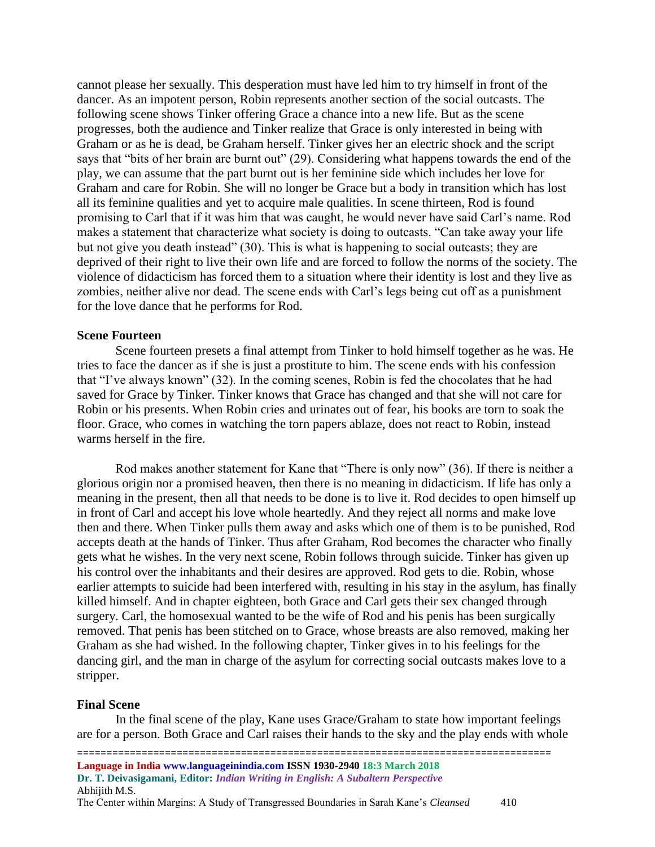cannot please her sexually. This desperation must have led him to try himself in front of the dancer. As an impotent person, Robin represents another section of the social outcasts. The following scene shows Tinker offering Grace a chance into a new life. But as the scene progresses, both the audience and Tinker realize that Grace is only interested in being with Graham or as he is dead, be Graham herself. Tinker gives her an electric shock and the script says that "bits of her brain are burnt out" (29). Considering what happens towards the end of the play, we can assume that the part burnt out is her feminine side which includes her love for Graham and care for Robin. She will no longer be Grace but a body in transition which has lost all its feminine qualities and yet to acquire male qualities. In scene thirteen, Rod is found promising to Carl that if it was him that was caught, he would never have said Carl's name. Rod makes a statement that characterize what society is doing to outcasts. "Can take away your life but not give you death instead" (30). This is what is happening to social outcasts; they are deprived of their right to live their own life and are forced to follow the norms of the society. The violence of didacticism has forced them to a situation where their identity is lost and they live as zombies, neither alive nor dead. The scene ends with Carl's legs being cut off as a punishment for the love dance that he performs for Rod.

## **Scene Fourteen**

Scene fourteen presets a final attempt from Tinker to hold himself together as he was. He tries to face the dancer as if she is just a prostitute to him. The scene ends with his confession that "I've always known" (32). In the coming scenes, Robin is fed the chocolates that he had saved for Grace by Tinker. Tinker knows that Grace has changed and that she will not care for Robin or his presents. When Robin cries and urinates out of fear, his books are torn to soak the floor. Grace, who comes in watching the torn papers ablaze, does not react to Robin, instead warms herself in the fire.

Rod makes another statement for Kane that "There is only now" (36). If there is neither a glorious origin nor a promised heaven, then there is no meaning in didacticism. If life has only a meaning in the present, then all that needs to be done is to live it. Rod decides to open himself up in front of Carl and accept his love whole heartedly. And they reject all norms and make love then and there. When Tinker pulls them away and asks which one of them is to be punished, Rod accepts death at the hands of Tinker. Thus after Graham, Rod becomes the character who finally gets what he wishes. In the very next scene, Robin follows through suicide. Tinker has given up his control over the inhabitants and their desires are approved. Rod gets to die. Robin, whose earlier attempts to suicide had been interfered with, resulting in his stay in the asylum, has finally killed himself. And in chapter eighteen, both Grace and Carl gets their sex changed through surgery. Carl, the homosexual wanted to be the wife of Rod and his penis has been surgically removed. That penis has been stitched on to Grace, whose breasts are also removed, making her Graham as she had wished. In the following chapter, Tinker gives in to his feelings for the dancing girl, and the man in charge of the asylum for correcting social outcasts makes love to a stripper.

## **Final Scene**

In the final scene of the play, Kane uses Grace/Graham to state how important feelings are for a person. Both Grace and Carl raises their hands to the sky and the play ends with whole